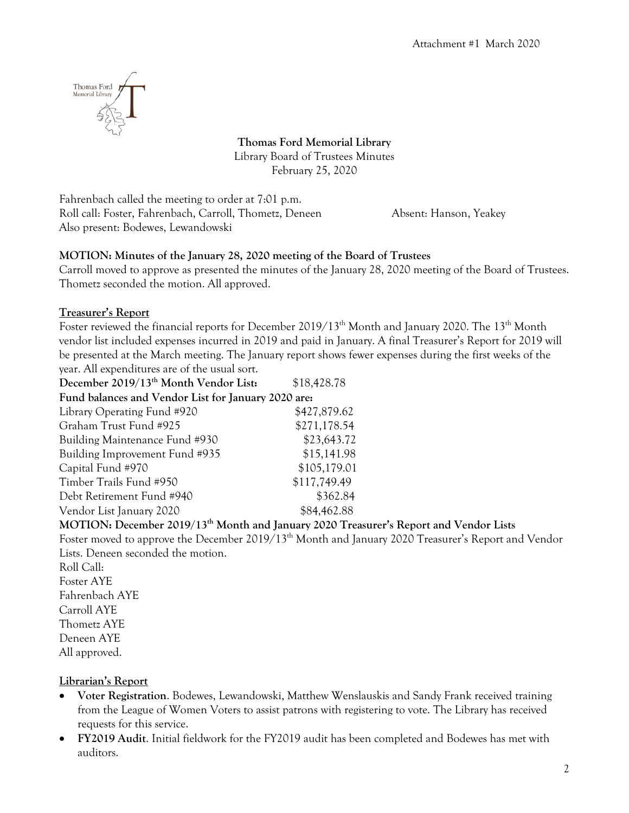

**Thomas Ford Memorial Library** Library Board of Trustees Minutes February 25, 2020

Fahrenbach called the meeting to order at 7:01 p.m. Roll call: Foster, Fahrenbach, Carroll, Thometz, Deneen Absent: Hanson, Yeakey Also present: Bodewes, Lewandowski

# **MOTION: Minutes of the January 28, 2020 meeting of the Board of Trustees**

Carroll moved to approve as presented the minutes of the January 28, 2020 meeting of the Board of Trustees. Thometz seconded the motion. All approved.

# **Treasurer's Report**

Foster reviewed the financial reports for December 2019/13<sup>th</sup> Month and January 2020. The 13<sup>th</sup> Month vendor list included expenses incurred in 2019 and paid in January. A final Treasurer's Report for 2019 will be presented at the March meeting. The January report shows fewer expenses during the first weeks of the year. All expenditures are of the usual sort.

| December 2019/13 <sup>th</sup> Month Vendor List:   | \$18,428.78  |
|-----------------------------------------------------|--------------|
| Fund balances and Vendor List for January 2020 are: |              |
| Library Operating Fund #920                         | \$427,879.62 |
| Graham Trust Fund #925                              | \$271,178.54 |
| Building Maintenance Fund #930                      | \$23,643.72  |
| Building Improvement Fund #935                      | \$15,141.98  |
| Capital Fund #970                                   | \$105,179.01 |
| Timber Trails Fund #950                             | \$117,749.49 |
| Debt Retirement Fund #940                           | \$362.84     |
| Vendor List January 2020                            | \$84,462.88  |
|                                                     |              |

**MOTION: December 2019/13th Month and January 2020 Treasurer's Report and Vendor Lists**

Foster moved to approve the December 2019/13<sup>th</sup> Month and January 2020 Treasurer's Report and Vendor Lists. Deneen seconded the motion.

Roll Call: Foster AYE Fahrenbach AYE Carroll AYE Thometz AYE Deneen AYE All approved.

# **Librarian's Report**

- **Voter Registration**. Bodewes, Lewandowski, Matthew Wenslauskis and Sandy Frank received training from the League of Women Voters to assist patrons with registering to vote. The Library has received requests for this service.
- **FY2019 Audit**. Initial fieldwork for the FY2019 audit has been completed and Bodewes has met with auditors.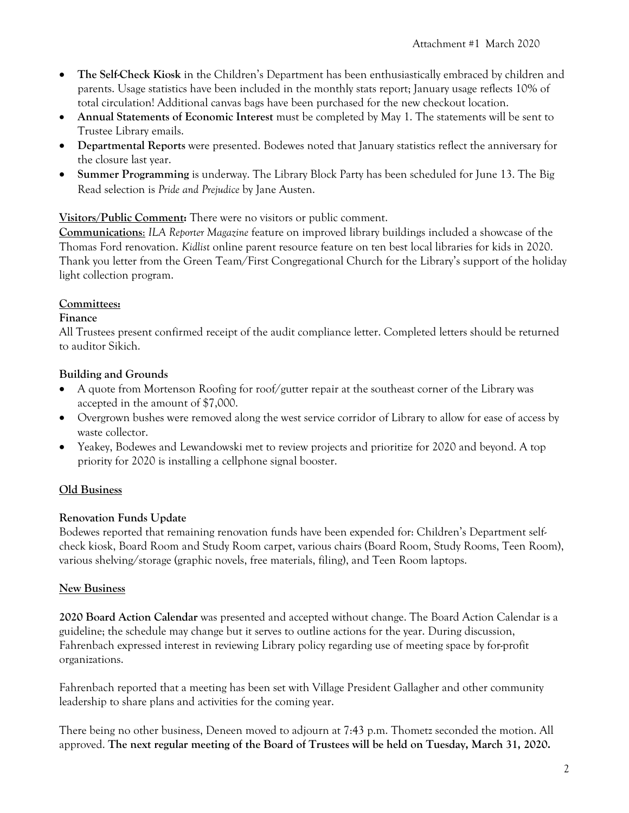- **The Self-Check Kiosk** in the Children's Department has been enthusiastically embraced by children and parents. Usage statistics have been included in the monthly stats report; January usage reflects 10% of total circulation! Additional canvas bags have been purchased for the new checkout location.
- **Annual Statements of Economic Interest** must be completed by May 1. The statements will be sent to Trustee Library emails.
- **Departmental Reports** were presented. Bodewes noted that January statistics reflect the anniversary for the closure last year.
- **Summer Programming** is underway. The Library Block Party has been scheduled for June 13. The Big Read selection is *Pride and Prejudice* by Jane Austen.

## **Visitors/Public Comment:** There were no visitors or public comment.

**Communications**: *ILA Reporter Magazine* feature on improved library buildings included a showcase of the Thomas Ford renovation. *Kidlist* online parent resource feature on ten best local libraries for kids in 2020. Thank you letter from the Green Team/First Congregational Church for the Library's support of the holiday light collection program.

## **Committees:**

### **Finance**

All Trustees present confirmed receipt of the audit compliance letter. Completed letters should be returned to auditor Sikich.

## **Building and Grounds**

- A quote from Mortenson Roofing for roof/gutter repair at the southeast corner of the Library was accepted in the amount of \$7,000.
- Overgrown bushes were removed along the west service corridor of Library to allow for ease of access by waste collector.
- Yeakey, Bodewes and Lewandowski met to review projects and prioritize for 2020 and beyond. A top priority for 2020 is installing a cellphone signal booster.

# **Old Business**

# **Renovation Funds Update**

Bodewes reported that remaining renovation funds have been expended for: Children's Department selfcheck kiosk, Board Room and Study Room carpet, various chairs (Board Room, Study Rooms, Teen Room), various shelving/storage (graphic novels, free materials, filing), and Teen Room laptops.

### **New Business**

**2020 Board Action Calendar** was presented and accepted without change. The Board Action Calendar is a guideline; the schedule may change but it serves to outline actions for the year. During discussion, Fahrenbach expressed interest in reviewing Library policy regarding use of meeting space by for-profit organizations.

Fahrenbach reported that a meeting has been set with Village President Gallagher and other community leadership to share plans and activities for the coming year.

There being no other business, Deneen moved to adjourn at 7:43 p.m. Thometz seconded the motion. All approved. **The next regular meeting of the Board of Trustees will be held on Tuesday, March 31, 2020.**